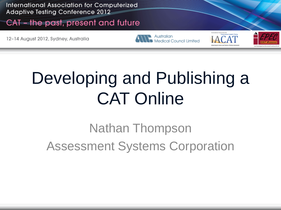International Association for Computerized **Adaptive Testing Conference 2012** 

#### CAT - the past, present and future

12-14 August 2012, Sydney, Australia

Australian Medical Council Limited





## Developing and Publishing a CAT Online

Nathan Thompson Assessment Systems Corporation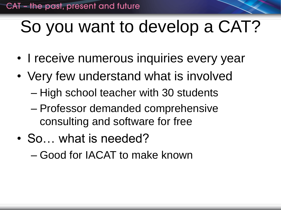## So you want to develop a CAT?

- I receive numerous inquiries every year
- Very few understand what is involved – High school teacher with 30 students
	- Professor demanded comprehensive consulting and software for free
- So... what is needed?
	- Good for IACAT to make known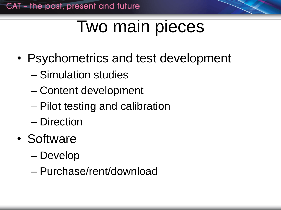### Two main pieces

- Psychometrics and test development
	- Simulation studies
	- Content development
	- Pilot testing and calibration
	- Direction
- Software
	- Develop
	- Purchase/rent/download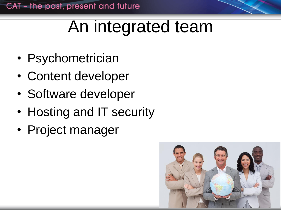# An integrated team

- Psychometrician
- Content developer
- Software developer
- Hosting and IT security
- Project manager

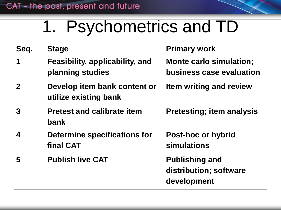### 1. Psychometrics and TD

| Seq.             | <b>Stage</b>                                          | <b>Primary work</b>                                               |
|------------------|-------------------------------------------------------|-------------------------------------------------------------------|
| 1                | Feasibility, applicability, and<br>planning studies   | <b>Monte carlo simulation;</b><br><b>business case evaluation</b> |
| $\mathbf 2$      | Develop item bank content or<br>utilize existing bank | <b>Item writing and review</b>                                    |
| 3                | <b>Pretest and calibrate item</b><br>bank             | <b>Pretesting; item analysis</b>                                  |
| $\boldsymbol{4}$ | <b>Determine specifications for</b><br>final CAT      | <b>Post-hoc or hybrid</b><br><b>simulations</b>                   |
| 5                | <b>Publish live CAT</b>                               | <b>Publishing and</b><br>distribution; software<br>development    |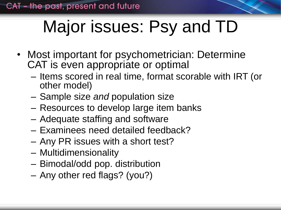# Major issues: Psy and TD

- Most important for psychometrician: Determine CAT is even appropriate or optimal
	- Items scored in real time, format scorable with IRT (or other model)
	- Sample size *and* population size
	- Resources to develop large item banks
	- Adequate staffing and software
	- Examinees need detailed feedback?
	- Any PR issues with a short test?
	- Multidimensionality
	- Bimodal/odd pop. distribution
	- Any other red flags? (you?)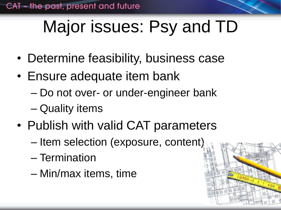# Major issues: Psy and TD

- Determine feasibility, business case
- Ensure adequate item bank
	- Do not over- or under-engineer bank
	- Quality items
- Publish with valid CAT parameters
	- Item selection (exposure, content)
	- Termination
	- Min/max items, time

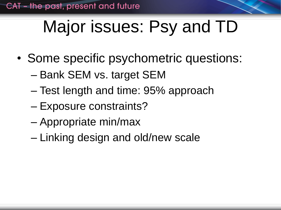# Major issues: Psy and TD

- Some specific psychometric questions:
	- Bank SEM vs. target SEM
	- Test length and time: 95% approach
	- Exposure constraints?
	- Appropriate min/max
	- Linking design and old/new scale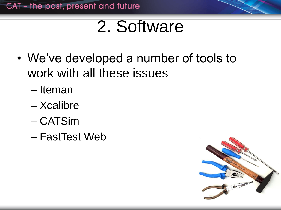### 2. Software

- We've developed a number of tools to work with all these issues
	- Iteman
	- Xcalibre
	- CATSim
	- FastTest Web

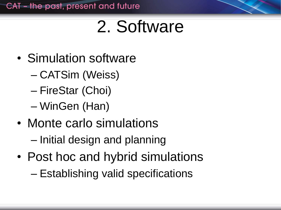### 2. Software

- Simulation software
	- CATSim (Weiss)
	- FireStar (Choi)
	- WinGen (Han)
- Monte carlo simulations
	- Initial design and planning
- Post hoc and hybrid simulations – Establishing valid specifications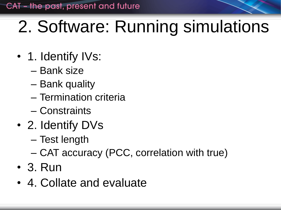### 2. Software: Running simulations

- 1. Identify IVs:
	- Bank size
	- Bank quality
	- Termination criteria
	- Constraints
- 2. Identify DVs
	- Test length
	- CAT accuracy (PCC, correlation with true)
- 3. Run
- 4. Collate and evaluate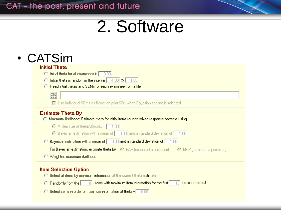### 2. Software

| <b>Initial Theta</b>                                                                                         |
|--------------------------------------------------------------------------------------------------------------|
| $\bigcirc$ Initial theta for all examinees is $\bigcirc$ 0.00                                                |
| $\bigcirc$ Intital theta is random in the interval $\bigcirc$ 1.00 to $\bigcirc$ 1.00                        |
| C Read intial thetas and SEMs for each examinee from a file                                                  |
|                                                                                                              |
| $\Box$ Use individual SEMs as Bayesian prior SDs when Bayesian scoring is selected                           |
|                                                                                                              |
| Estimate Theta By                                                                                            |
| <b>C</b> Maximum likelihood: Estimate theta for initial items for non-mixed response patterns using          |
| $\bigcap$ A step size of theta/difficulty = $\bigcap$ 1.00                                                   |
| $\bigcirc$ Bayesian estimation with a mean of $\bigcirc$ 0.00 and a standard deviation of $\bigcirc$ 1.00    |
| $\bigcirc$ Bayesian estimation with a mean of $\bigcirc$ 0.00 and a standard deviation of $\bigcirc$ 1.00    |
| <b>For Bayesian estimation, estimate theta by</b> C EAP (expected a posteriori) C MAP (maximum a posteriori) |

| - Item Selection Option -                                                                                                    |  |
|------------------------------------------------------------------------------------------------------------------------------|--|
| ◯ Select all items by maximum information at the current theta estimate                                                      |  |
| $\bigcirc$ Randomly from the $\bigcirc$ 10 items with maximum item information for the first $\bigcirc$ 10 items in the test |  |
| $\bigcirc$ Select items in order of maximum information at theta = $\bigcirc$ 0.00                                           |  |
|                                                                                                                              |  |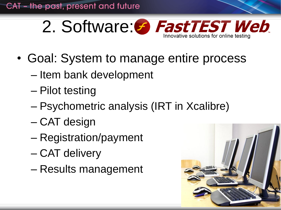

- Goal: System to manage entire process
	- Item bank development
	- Pilot testing
	- Psychometric analysis (IRT in Xcalibre)
	- CAT design
	- Registration/payment
	- CAT delivery
	- Results management

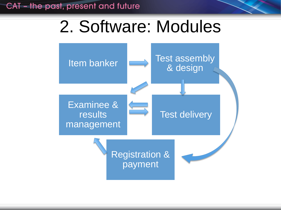### 2. Software: Modules

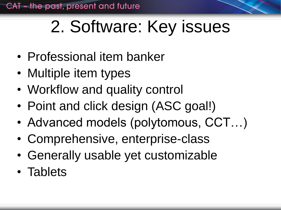# 2. Software: Key issues

- Professional item banker
- Multiple item types
- Workflow and quality control
- Point and click design (ASC goal!)
- Advanced models (polytomous, CCT…)
- Comprehensive, enterprise-class
- Generally usable yet customizable
- Tablets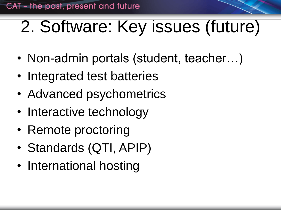# 2. Software: Key issues (future)

- Non-admin portals (student, teacher...)
- Integrated test batteries
- Advanced psychometrics
- Interactive technology
- Remote proctoring
- Standards (QTI, APIP)
- International hosting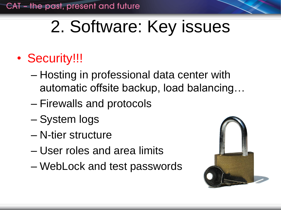## 2. Software: Key issues

### • Security!!!

- Hosting in professional data center with automatic offsite backup, load balancing…
- Firewalls and protocols
- System logs
- N-tier structure
- User roles and area limits
- WebLock and test passwords

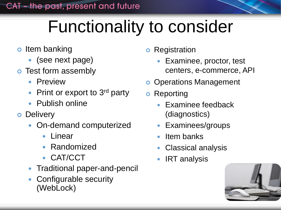## Functionality to consider

- o Item banking
	- (see next page)
- **o** Test form assembly
	- Preview
	- Print or export to 3rd party
	- Publish online
- **o** Delivery
	- On-demand computerized
		- Linear
		- Randomized
		- CAT/CCT
	- Traditional paper-and-pencil
	- Configurable security (WebLock)
- **o** Registration
	- Examinee, proctor, test centers, e-commerce, API
- **o** Operations Management
- **o** Reporting
	- Examinee feedback (diagnostics)
	- Examinees/groups
	- Item banks
	- Classical analysis
	- IRT analysis

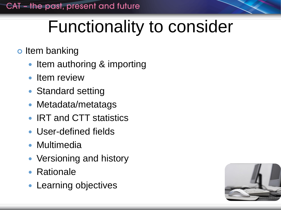### Functionality to consider

#### o Item banking

- Item authoring & importing
- Item review
- Standard setting
- Metadata/metatags
- IRT and CTT statistics
- User-defined fields
- Multimedia
- Versioning and history
- Rationale
- Learning objectives

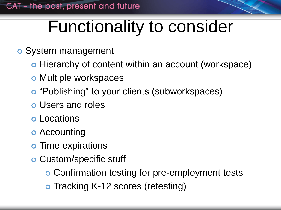### Functionality to consider

- System management
	- o Hierarchy of content within an account (workspace)
	- o Multiple workspaces
	- o "Publishing" to your clients (subworkspaces)
	- Users and roles
	- Locations
	- **o** Accounting
	- o Time expirations
	- Custom/specific stuff
		- Confirmation testing for pre-employment tests
		- o Tracking K-12 scores (retesting)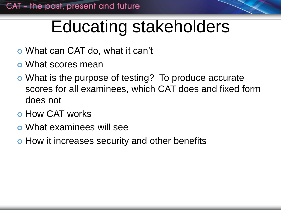## Educating stakeholders

- What can CAT do, what it can't
- What scores mean
- What is the purpose of testing? To produce accurate scores for all examinees, which CAT does and fixed form does not
- **o** How CAT works
- What examinees will see
- o How it increases security and other benefits